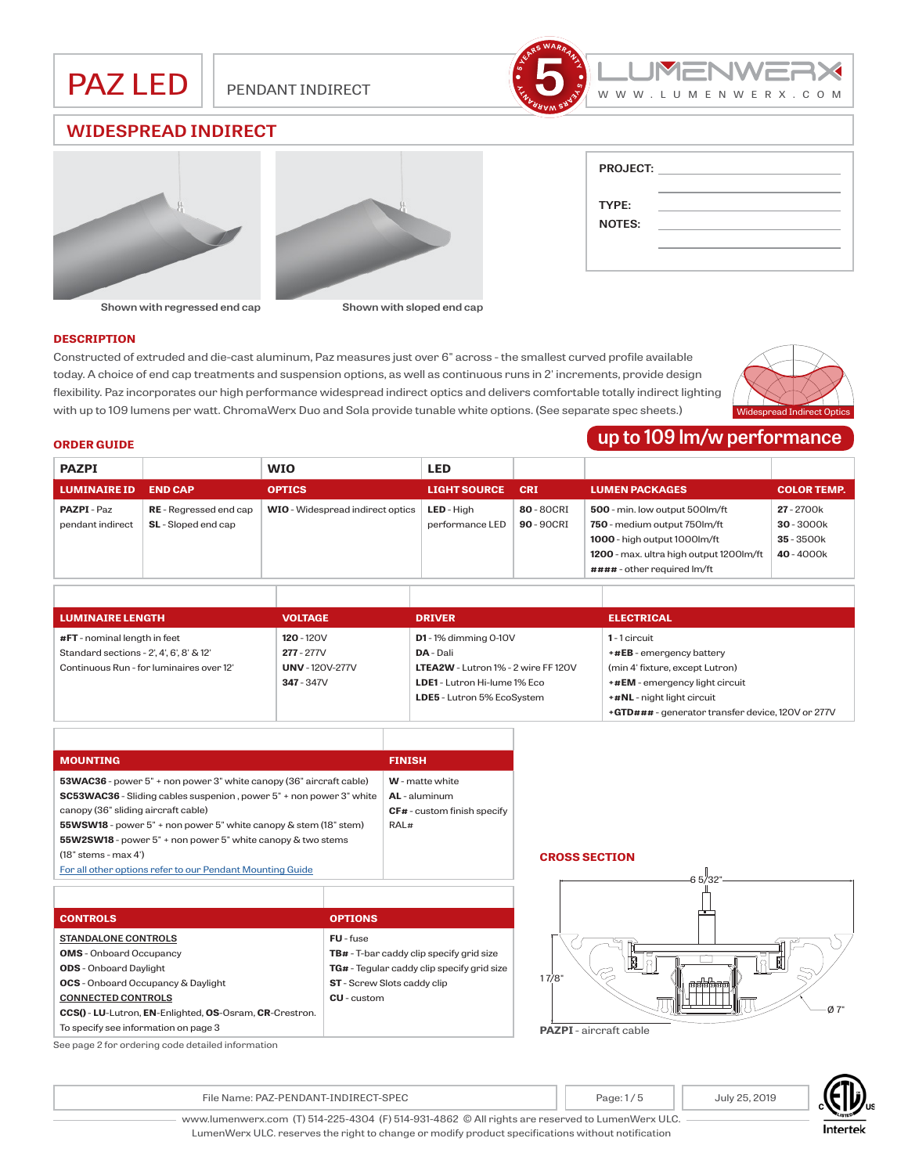





| <b>PROJECT:</b> |  |
|-----------------|--|
|                 |  |
|                 |  |
| TYPE:           |  |
| <b>NOTES:</b>   |  |
|                 |  |

#### **Shown with regressed end cap Shown with sloped end cap**

#### **DESCRIPTION**

Constructed of extruded and die-cast aluminum, Paz measures just over 6" across - the smallest curved profile available today. A choice of end cap treatments and suspension options, as well as continuous runs in 2' increments, provide design flexibility. Paz incorporates our high performance widespread indirect optics and delivers comfortable totally indirect lighting with up to 109 lumens per watt. ChromaWerx Duo and Sola provide tunable white options. (See separate spec sheets.)



# **up to 109 lm/w performance**

| <b>ORDER GUIDE</b> |  |
|--------------------|--|
|--------------------|--|

| <b>PAZPI</b>        |                               | <b>WIO</b>                              | <b>LED</b>          |            |                                         |                    |
|---------------------|-------------------------------|-----------------------------------------|---------------------|------------|-----------------------------------------|--------------------|
| <b>LUMINAIRE ID</b> | <b>END CAP</b>                | <b>OPTICS</b>                           | <b>LIGHT SOURCE</b> | <b>CRI</b> | <b>LUMEN PACKAGES</b>                   | <b>COLOR TEMP.</b> |
| <b>PAZPI</b> - Paz  | <b>RE</b> - Regressed end cap | <b>WIO</b> - Widespread indirect optics | <b>LED</b> - High   | 80 - 80CRI | 500 - min. low output 500lm/ft          | 27 - 2700k         |
| pendant indirect    | <b>SL</b> - Sloped end cap    |                                         | performance LED     | 90 - 90CRI | 750 - medium output 750lm/ft            | $30 - 3000k$       |
|                     |                               |                                         |                     |            | 1000 - high output 1000lm/ft            | $35 - 3500k$       |
|                     |                               |                                         |                     |            | 1200 - max. ultra high output 1200lm/ft | 40-4000k           |
|                     |                               |                                         |                     |            | #### - other required lm/ft             |                    |

| <b>LUMINAIRE LENGTH</b>                  | <b>VOLTAGE</b>         | <b>DRIVER</b>                              | <b>ELECTRICAL</b>                                 |
|------------------------------------------|------------------------|--------------------------------------------|---------------------------------------------------|
| #FT - nominal length in feet             | $120 - 120V$           | $D1 - 1%$ dimming 0-10V                    | 1-1 circuit                                       |
| Standard sections - 2', 4', 6', 8' & 12' | $277 - 277V$           | <b>DA</b> - Dali                           | $+$ #EB - emergency battery                       |
| Continuous Run - for luminaires over 12' | <b>UNV</b> - 120V-277V | <b>LTEA2W</b> - Lutron 1% - 2 wire FF 120V | (min 4' fixture, except Lutron)                   |
|                                          | $347 - 347V$           | LDE1 - Lutron Hi-lume 1% Eco               | +#EM - emergency light circuit                    |
|                                          |                        | LDE5 - Lutron 5% EcoSystem                 | +#NL - night light circuit                        |
|                                          |                        |                                            | +GTD### - generator transfer device, 120V or 277V |

| CF# - custom finish specify |
|-----------------------------|
|                             |
|                             |
|                             |
|                             |
|                             |

| <b>TB#</b> - T-bar caddy clip specify grid size |
|-------------------------------------------------|
| TG# - Tegular caddy clip specify grid size      |
| <b>ST</b> - Screw Slots caddy clip              |
|                                                 |
|                                                 |
|                                                 |
|                                                 |

#### **CROSS SECTION**



**PAZPI** - aircraft cable

See page 2 for ordering code detailed information

File Name: PAZ-PENDANT-INDIRECT-SPEC Page: 1/5 Page: 1/5 July 25, 2019



www.lumenwerx.com (T) 514-225-4304 (F) 514-931-4862 © All rights are reserved to LumenWerx ULC. LumenWerx ULC. reserves the right to change or modify product specifications without notification

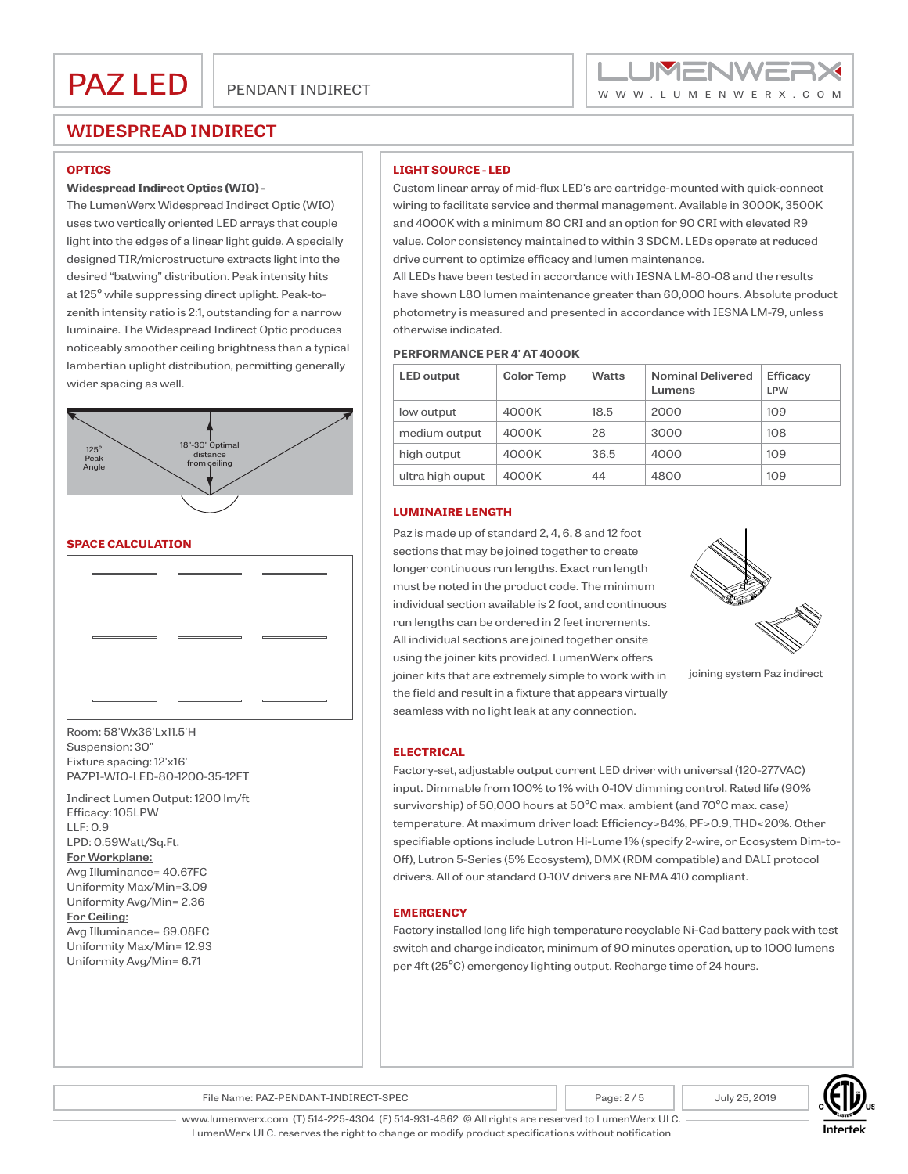

#### **OPTICS**

#### **Widespread Indirect Optics (WIO) -**

The LumenWerx Widespread Indirect Optic (WIO) uses two vertically oriented LED arrays that couple light into the edges of a linear light guide. A specially designed TIR/microstructure extracts light into the desired "batwing" distribution. Peak intensity hits at 125º while suppressing direct uplight. Peak-tozenith intensity ratio is 2:1, outstanding for a narrow luminaire. The Widespread Indirect Optic produces noticeably smoother ceiling brightness than a typical lambertian uplight distribution, permitting generally wider spacing as well.



### **SPACE CALCULATION**



Room: 58'Wx36'Lx11.5'H Suspension: 30" Fixture spacing: 12'x16' PAZPI-WIO-LED-80-1200-35-12FT

Indirect Lumen Output: 1200 lm/ft Efficacy: 105LPW  $LLE: O.9$ LPD: 0.59Watt/Sq.Ft. **For Workplane:** Avg Illuminance= 40.67FC Uniformity Max/Min=3.09 Uniformity Avg/Min= 2.36 **For Ceiling:** Avg Illuminance= 69.08FC Uniformity Max/Min= 12.93 Uniformity Avg/Min= 6.71

## **LIGHT SOURCE - LED**

Custom linear array of mid-flux LED's are cartridge-mounted with quick-connect wiring to facilitate service and thermal management. Available in 3000K, 3500K and 4000K with a minimum 80 CRI and an option for 90 CRI with elevated R9 value. Color consistency maintained to within 3 SDCM. LEDs operate at reduced drive current to optimize efficacy and lumen maintenance.

All LEDs have been tested in accordance with IESNA LM-80-08 and the results have shown L80 lumen maintenance greater than 60,000 hours. Absolute product photometry is measured and presented in accordance with IESNA LM-79, unless otherwise indicated.

#### **PERFORMANCE PER 4' AT 4000K**

| <b>LED</b> output | <b>Color Temp</b> | <b>Watts</b> | <b>Nominal Delivered</b><br>Lumens | <b>Efficacy</b><br><b>LPW</b> |
|-------------------|-------------------|--------------|------------------------------------|-------------------------------|
| low output        | 4000K             | 18.5         | 2000                               | 109                           |
| medium output     | 4000K             | 28           | 3000                               | 108                           |
| high output       | 4000K             | 36.5         | 4000                               | 109                           |
| ultra high ouput  | 4000K             | 44           | 4800                               | 109                           |

### **LUMINAIRE LENGTH**

Paz is made up of standard 2, 4, 6, 8 and 12 foot sections that may be joined together to create longer continuous run lengths. Exact run length must be noted in the product code. The minimum individual section available is 2 foot, and continuous run lengths can be ordered in 2 feet increments. All individual sections are joined together onsite using the joiner kits provided. LumenWerx offers joiner kits that are extremely simple to work with in the field and result in a fixture that appears virtually seamless with no light leak at any connection.



joining system Paz indirect

### **ELECTRICAL**

Factory-set, adjustable output current LED driver with universal (120-277VAC) input. Dimmable from 100% to 1% with 0-10V dimming control. Rated life (90% survivorship) of 50,000 hours at 50ºC max. ambient (and 70ºC max. case) temperature. At maximum driver load: Efficiency>84%, PF>0.9, THD<20%. Other specifiable options include Lutron Hi-Lume 1% (specify 2-wire, or Ecosystem Dim-to-Off), Lutron 5-Series (5% Ecosystem), DMX (RDM compatible) and DALI protocol drivers. All of our standard 0-10V drivers are NEMA 410 compliant.

#### **EMERGENCY**

Factory installed long life high temperature recyclable Ni-Cad battery pack with test switch and charge indicator, minimum of 90 minutes operation, up to 1000 lumens per 4ft (25ºC) emergency lighting output. Recharge time of 24 hours.

File Name: PAZ-PENDANT-INDIRECT-SPEC Page: 2 / 5 Page: 2 / 5 July 25, 2019



www.lumenwerx.com (T) 514-225-4304 (F) 514-931-4862 © All rights are reserved to LumenWerx ULC. LumenWerx ULC. reserves the right to change or modify product specifications without notification

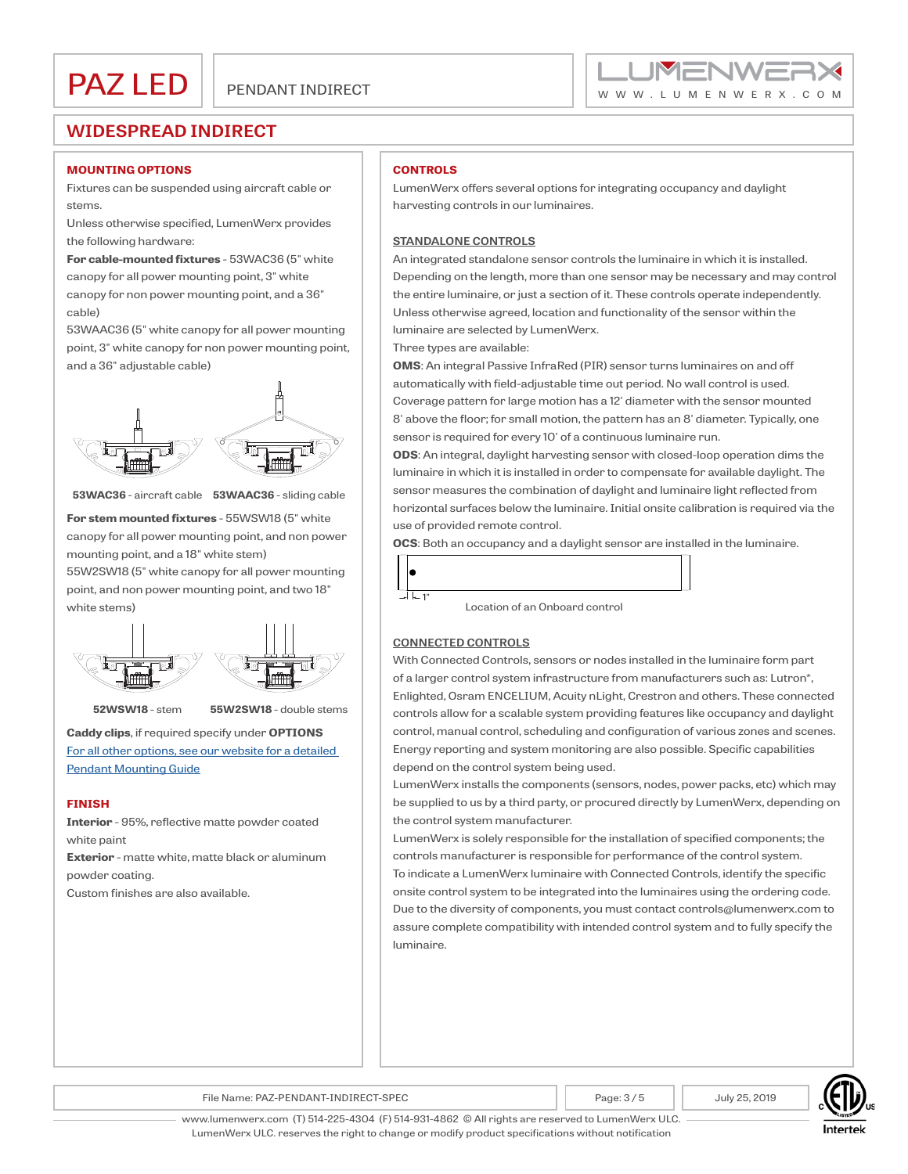

#### **MOUNTING OPTIONS**

Fixtures can be suspended using aircraft cable or stems.

Unless otherwise specified, LumenWerx provides the following hardware:

**For cable-mounted fixtures** - 53WAC36 (5" white canopy for all power mounting point, 3" white canopy for non power mounting point, and a 36" cable)

53WAAC36 (5" white canopy for all power mounting point, 3" white canopy for non power mounting point, and a 36" adjustable cable)



**53WAC36** - aircraft cable **53WAAC36** - sliding cable

**For stem mounted fixtures** - 55WSW18 (5" white canopy for all power mounting point, and non power mounting point, and a 18" white stem) 55W2SW18 (5" white canopy for all power mounting point, and non power mounting point, and two 18"



**52WSW18** - stem **55W2SW18** - double stems

**Caddy clips**, if required specify under **OPTIONS** [For all other options, see our website for a detailed](http://www.lumenwerx.com/wp-content/files/Pendant-Fixtures-Mounting-Guide.pdf)  [Pendant Mounting Guide](http://www.lumenwerx.com/wp-content/files/Pendant-Fixtures-Mounting-Guide.pdf)

#### **FINISH**

**Interior** - 95%, reflective matte powder coated white paint

**Exterior** - matte white, matte black or aluminum powder coating.

Custom finishes are also available.

### **CONTROLS**

LumenWerx offers several options for integrating occupancy and daylight harvesting controls in our luminaires.

### **STANDALONE CONTROLS**

An integrated standalone sensor controls the luminaire in which it is installed. Depending on the length, more than one sensor may be necessary and may control the entire luminaire, or just a section of it. These controls operate independently. Unless otherwise agreed, location and functionality of the sensor within the luminaire are selected by LumenWerx.

Three types are available:

**OMS**: An integral Passive InfraRed (PIR) sensor turns luminaires on and off automatically with field-adjustable time out period. No wall control is used. Coverage pattern for large motion has a 12' diameter with the sensor mounted 8' above the floor; for small motion, the pattern has an 8' diameter. Typically, one sensor is required for every 10' of a continuous luminaire run.

**ODS**: An integral, daylight harvesting sensor with closed-loop operation dims the luminaire in which it is installed in order to compensate for available daylight. The sensor measures the combination of daylight and luminaire light reflected from horizontal surfaces below the luminaire. Initial onsite calibration is required via the use of provided remote control.

**OCS**: Both an occupancy and a daylight sensor are installed in the luminaire.



### **CONNECTED CONTROLS**

With Connected Controls, sensors or nodes installed in the luminaire form part of a larger control system infrastructure from manufacturers such as: Lutron\*, Enlighted, Osram ENCELIUM, Acuity nLight, Crestron and others. These connected controls allow for a scalable system providing features like occupancy and daylight control, manual control, scheduling and configuration of various zones and scenes. Energy reporting and system monitoring are also possible. Specific capabilities depend on the control system being used.

LumenWerx installs the components (sensors, nodes, power packs, etc) which may be supplied to us by a third party, or procured directly by LumenWerx, depending on the control system manufacturer.

LumenWerx is solely responsible for the installation of specified components; the controls manufacturer is responsible for performance of the control system. To indicate a LumenWerx luminaire with Connected Controls, identify the specific onsite control system to be integrated into the luminaires using the ordering code. Due to the diversity of components, you must contact controls@lumenwerx.com to

assure complete compatibility with intended control system and to fully specify the luminaire.

File Name: PAZ-PENDANT-INDIRECT-SPEC Fage: 3/5 July 25, 2019



www.lumenwerx.com (T) 514-225-4304 (F) 514-931-4862 © All rights are reserved to LumenWerx ULC. LumenWerx ULC. reserves the right to change or modify product specifications without notification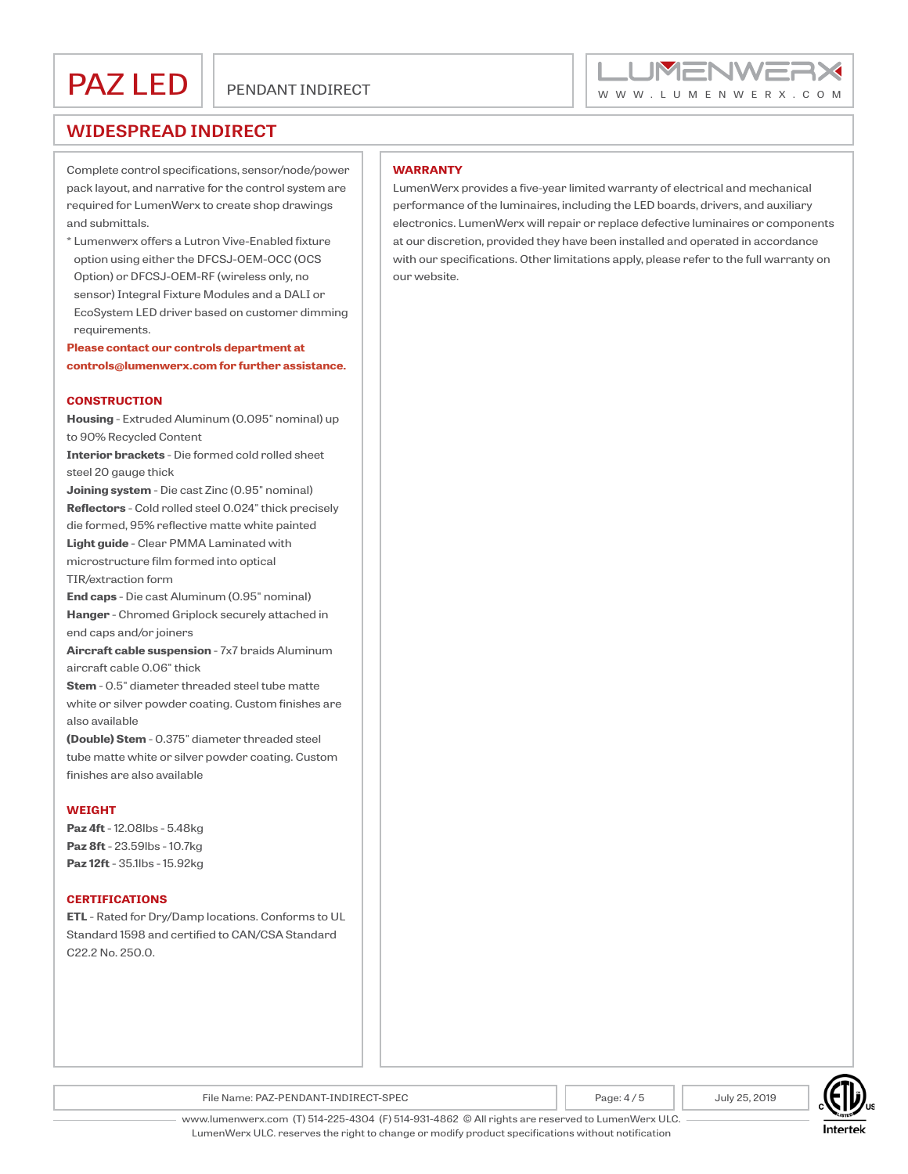

Complete control specifications, sensor/node/power pack layout, and narrative for the control system are required for LumenWerx to create shop drawings and submittals.

\* Lumenwerx offers a Lutron Vive-Enabled fixture option using either the DFCSJ-OEM-OCC (OCS Option) or DFCSJ-OEM-RF (wireless only, no sensor) Integral Fixture Modules and a DALI or EcoSystem LED driver based on customer dimming requirements.

**Please contact our controls department at controls@lumenwerx.com for further assistance.**

#### **CONSTRUCTION**

**Housing** - Extruded Aluminum (0.095" nominal) up to 90% Recycled Content

**Interior brackets** - Die formed cold rolled sheet steel 20 gauge thick

**Joining system** - Die cast Zinc (0.95" nominal) **Reflectors** - Cold rolled steel 0.024" thick precisely die formed, 95% reflective matte white painted **Light guide** - Clear PMMA Laminated with microstructure film formed into optical TIR/extraction form

**End caps** - Die cast Aluminum (0.95" nominal) **Hanger** - Chromed Griplock securely attached in end caps and/or joiners

**Aircraft cable suspension** - 7x7 braids Aluminum aircraft cable 0.06" thick

**Stem** - 0.5" diameter threaded steel tube matte white or silver powder coating. Custom finishes are also available

**(Double) Stem** - 0.375" diameter threaded steel tube matte white or silver powder coating. Custom finishes are also available

#### **WEIGHT**

**Paz 4ft** - 12.08lbs - 5.48kg **Paz 8ft** - 23.59lbs - 10.7kg **Paz 12ft** - 35.1lbs - 15.92kg

#### **CERTIFICATIONS**

**ETL** - Rated for Dry/Damp locations. Conforms to UL Standard 1598 and certified to CAN/CSA Standard C22.2 No. 250.0.

#### **WARRANTY**

LumenWerx provides a five-year limited warranty of electrical and mechanical performance of the luminaires, including the LED boards, drivers, and auxiliary electronics. LumenWerx will repair or replace defective luminaires or components at our discretion, provided they have been installed and operated in accordance with our specifications. Other limitations apply, please refer to the full warranty on our website.



File Name: PAZ-PENDANT-INDIRECT-SPEC Page: 4 / 5 Page: 4 / 5 July 25, 2019